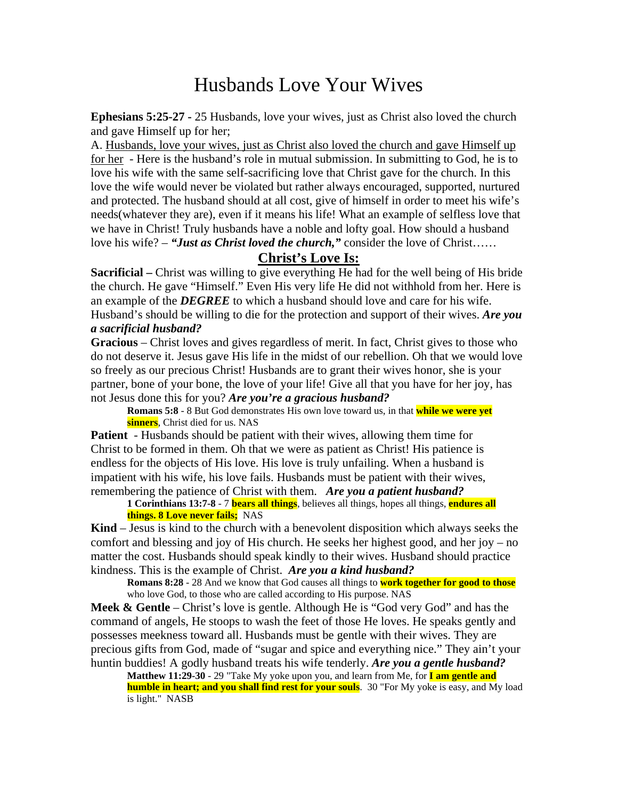# Husbands Love Your Wives

**Ephesians 5:25-27 -** 25 Husbands, love your wives, just as Christ also loved the church and gave Himself up for her;

A. Husbands, love your wives, just as Christ also loved the church and gave Himself up for her - Here is the husband's role in mutual submission. In submitting to God, he is to love his wife with the same self-sacrificing love that Christ gave for the church. In this love the wife would never be violated but rather always encouraged, supported, nurtured and protected. The husband should at all cost, give of himself in order to meet his wife's needs(whatever they are), even if it means his life! What an example of selfless love that we have in Christ! Truly husbands have a noble and lofty goal. How should a husband love his wife? – *"Just as Christ loved the church,"* consider the love of Christ……

## **Christ's Love Is:**

**Sacrificial** – Christ was willing to give everything He had for the well being of His bride the church. He gave "Himself." Even His very life He did not withhold from her. Here is an example of the *DEGREE* to which a husband should love and care for his wife. Husband's should be willing to die for the protection and support of their wives. *Are you a sacrificial husband?*

### **Gracious** – Christ loves and gives regardless of merit. In fact, Christ gives to those who do not deserve it. Jesus gave His life in the midst of our rebellion. Oh that we would love so freely as our precious Christ! Husbands are to grant their wives honor, she is your partner, bone of your bone, the love of your life! Give all that you have for her joy, has not Jesus done this for you? *Are you're a gracious husband?*

**Romans 5:8** - 8 But God demonstrates His own love toward us, in that **while we were yet sinners**, Christ died for us. NAS

**Patient** - Husbands should be patient with their wives, allowing them time for Christ to be formed in them. Oh that we were as patient as Christ! His patience is endless for the objects of His love. His love is truly unfailing. When a husband is impatient with his wife, his love fails. Husbands must be patient with their wives, remembering the patience of Christ with them. *Are you a patient husband?*

#### **1 Corinthians 13:7-8** - 7 **bears all things**, believes all things, hopes all things, **endures all things. 8 Love never fails;** NAS

**Kind** – Jesus is kind to the church with a benevolent disposition which always seeks the comfort and blessing and joy of His church. He seeks her highest good, and her joy – no matter the cost. Husbands should speak kindly to their wives. Husband should practice kindness. This is the example of Christ. *Are you a kind husband?*

**Romans 8:28** - 28 And we know that God causes all things to **work together for good to those** who love God, to those who are called according to His purpose. NAS

**Meek & Gentle** – Christ's love is gentle. Although He is "God very God" and has the command of angels, He stoops to wash the feet of those He loves. He speaks gently and possesses meekness toward all. Husbands must be gentle with their wives. They are precious gifts from God, made of "sugar and spice and everything nice." They ain't your huntin buddies! A godly husband treats his wife tenderly. *Are you a gentle husband?*

**Matthew 11:29-30** - 29 "Take My yoke upon you, and learn from Me, for **I am gentle and humble in heart; and you shall find rest for your souls**. 30 "For My yoke is easy, and My load is light." NASB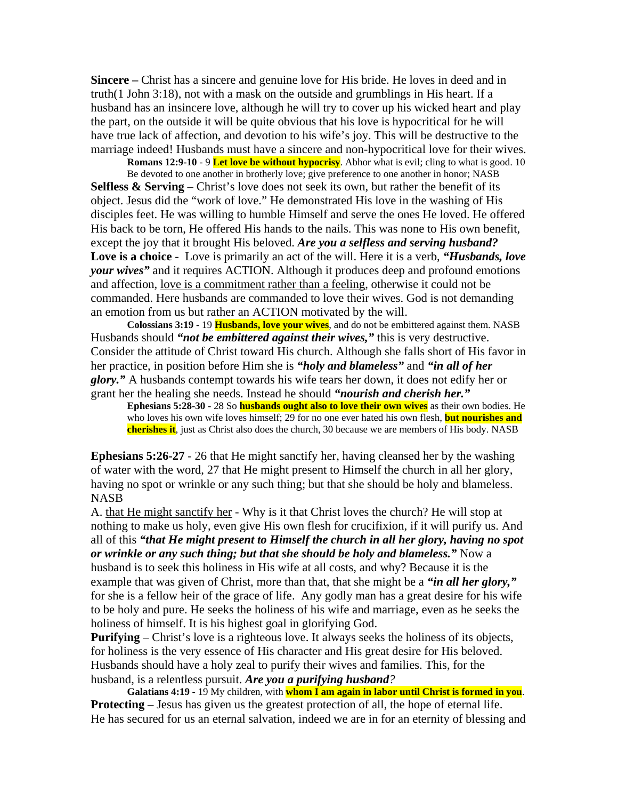**Sincere –** Christ has a sincere and genuine love for His bride. He loves in deed and in truth(1 John 3:18), not with a mask on the outside and grumblings in His heart. If a husband has an insincere love, although he will try to cover up his wicked heart and play the part, on the outside it will be quite obvious that his love is hypocritical for he will have true lack of affection, and devotion to his wife's joy. This will be destructive to the marriage indeed! Husbands must have a sincere and non-hypocritical love for their wives.

**Romans 12:9-10** - 9 **Let love be without hypocrisy**. Abhor what is evil; cling to what is good. 10 Be devoted to one another in brotherly love; give preference to one another in honor; NASB **Selfless & Serving** – Christ's love does not seek its own, but rather the benefit of its object. Jesus did the "work of love." He demonstrated His love in the washing of His disciples feet. He was willing to humble Himself and serve the ones He loved. He offered His back to be torn, He offered His hands to the nails. This was none to His own benefit, except the joy that it brought His beloved. *Are you a selfless and serving husband?* **Love is a choice** - Love is primarily an act of the will. Here it is a verb, *"Husbands, love your wives"* and it requires ACTION. Although it produces deep and profound emotions

and affection, love is a commitment rather than a feeling, otherwise it could not be commanded. Here husbands are commanded to love their wives. God is not demanding an emotion from us but rather an ACTION motivated by the will.

**Colossians 3:19** - 19 **Husbands, love your wives**, and do not be embittered against them. NASB Husbands should *"not be embittered against their wives,"* this is very destructive. Consider the attitude of Christ toward His church. Although she falls short of His favor in her practice, in position before Him she is *"holy and blameless"* and *"in all of her glory."* A husbands contempt towards his wife tears her down, it does not edify her or grant her the healing she needs. Instead he should *"nourish and cherish her."*

**Ephesians 5:28-30 -** 28 So **husbands ought also to love their own wives** as their own bodies. He who loves his own wife loves himself; 29 for no one ever hated his own flesh, **but nourishes and cherishes it**, just as Christ also does the church, 30 because we are members of His body. NASB

**Ephesians 5:26-27** - 26 that He might sanctify her, having cleansed her by the washing of water with the word, 27 that He might present to Himself the church in all her glory, having no spot or wrinkle or any such thing; but that she should be holy and blameless. NASB

A. that He might sanctify her - Why is it that Christ loves the church? He will stop at nothing to make us holy, even give His own flesh for crucifixion, if it will purify us. And all of this *"that He might present to Himself the church in all her glory, having no spot or wrinkle or any such thing; but that she should be holy and blameless."* Now a husband is to seek this holiness in His wife at all costs, and why? Because it is the example that was given of Christ, more than that, that she might be a *"in all her glory,"* for she is a fellow heir of the grace of life. Any godly man has a great desire for his wife to be holy and pure. He seeks the holiness of his wife and marriage, even as he seeks the holiness of himself. It is his highest goal in glorifying God.

**Purifying** – Christ's love is a righteous love. It always seeks the holiness of its objects, for holiness is the very essence of His character and His great desire for His beloved. Husbands should have a holy zeal to purify their wives and families. This, for the husband, is a relentless pursuit. *Are you a purifying husband?*

**Galatians 4:19** - 19 My children, with **whom I am again in labor until Christ is formed in you**. **Protecting** – Jesus has given us the greatest protection of all, the hope of eternal life. He has secured for us an eternal salvation, indeed we are in for an eternity of blessing and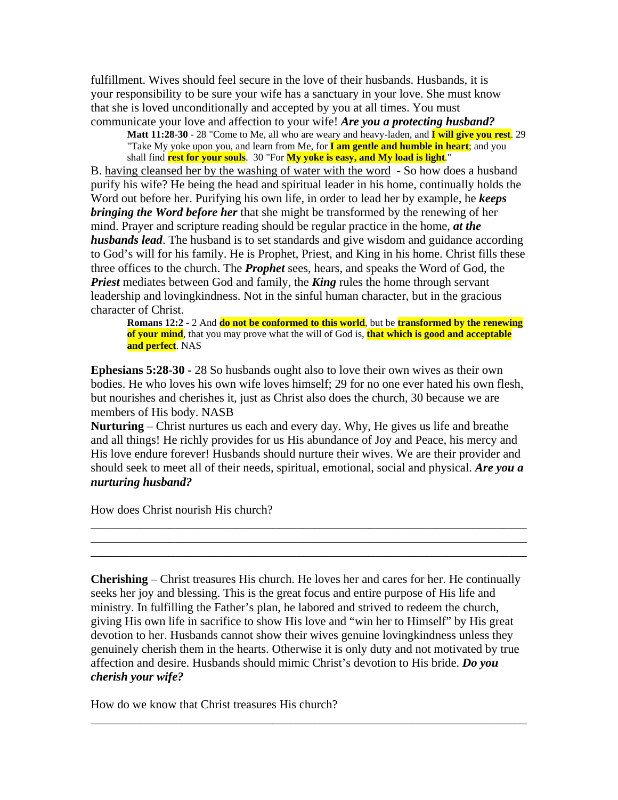fulfillment. Wives should feel secure in the love of their husbands. Husbands, it is your responsibility to be sure your wife has a sanctuary in your love. She must know that she is loved unconditionally and accepted by you at all times. You must communicate your love and affection to your wife! *Are you a protecting husband?*

**Matt 11:28-30** - 28 "Come to Me, all who are weary and heavy-laden, and **I will give you rest**. 29 "Take My yoke upon you, and learn from Me, for **I am gentle and humble in heart**; and you shall find **rest for your souls**. 30 "For **My yoke is easy, and My load is light**."

B. having cleansed her by the washing of water with the word - So how does a husband purify his wife? He being the head and spiritual leader in his home, continually holds the Word out before her. Purifying his own life, in order to lead her by example, he *keeps bringing the Word before her* that she might be transformed by the renewing of her mind. Prayer and scripture reading should be regular practice in the home, *at the husbands lead*. The husband is to set standards and give wisdom and guidance according to God's will for his family. He is Prophet, Priest, and King in his home. Christ fills these three offices to the church. The *Prophet* sees, hears, and speaks the Word of God, the *Priest* mediates between God and family, the *King* rules the home through servant leadership and lovingkindness. Not in the sinful human character, but in the gracious character of Christ.

**Romans 12:2** - 2 And **do not be conformed to this world**, but be **transformed by the renewing of your mind**, that you may prove what the will of God is, **that which is good and acceptable and perfect**. NAS

**Ephesians 5:28-30 -** 28 So husbands ought also to love their own wives as their own bodies. He who loves his own wife loves himself; 29 for no one ever hated his own flesh, but nourishes and cherishes it, just as Christ also does the church, 30 because we are members of His body. NASB

**Nurturing** – Christ nurtures us each and every day. Why, He gives us life and breathe and all things! He richly provides for us His abundance of Joy and Peace, his mercy and His love endure forever! Husbands should nurture their wives. We are their provider and should seek to meet all of their needs, spiritual, emotional, social and physical. *Are you a nurturing husband?*

\_\_\_\_\_\_\_\_\_\_\_\_\_\_\_\_\_\_\_\_\_\_\_\_\_\_\_\_\_\_\_\_\_\_\_\_\_\_\_\_\_\_\_\_\_\_\_\_\_\_\_\_\_\_\_\_\_\_\_\_\_\_\_\_\_\_\_\_\_\_\_\_ \_\_\_\_\_\_\_\_\_\_\_\_\_\_\_\_\_\_\_\_\_\_\_\_\_\_\_\_\_\_\_\_\_\_\_\_\_\_\_\_\_\_\_\_\_\_\_\_\_\_\_\_\_\_\_\_\_\_\_\_\_\_\_\_\_\_\_\_\_\_\_\_ \_\_\_\_\_\_\_\_\_\_\_\_\_\_\_\_\_\_\_\_\_\_\_\_\_\_\_\_\_\_\_\_\_\_\_\_\_\_\_\_\_\_\_\_\_\_\_\_\_\_\_\_\_\_\_\_\_\_\_\_\_\_\_\_\_\_\_\_\_\_\_\_

How does Christ nourish His church?

**Cherishing** – Christ treasures His church. He loves her and cares for her. He continually seeks her joy and blessing. This is the great focus and entire purpose of His life and ministry. In fulfilling the Father's plan, he labored and strived to redeem the church, giving His own life in sacrifice to show His love and "win her to Himself" by His great devotion to her. Husbands cannot show their wives genuine lovingkindness unless they genuinely cherish them in the hearts. Otherwise it is only duty and not motivated by true affection and desire. Husbands should mimic Christ's devotion to His bride. *Do you cherish your wife?*

\_\_\_\_\_\_\_\_\_\_\_\_\_\_\_\_\_\_\_\_\_\_\_\_\_\_\_\_\_\_\_\_\_\_\_\_\_\_\_\_\_\_\_\_\_\_\_\_\_\_\_\_\_\_\_\_\_\_\_\_\_\_\_\_\_\_\_\_\_\_\_\_

How do we know that Christ treasures His church?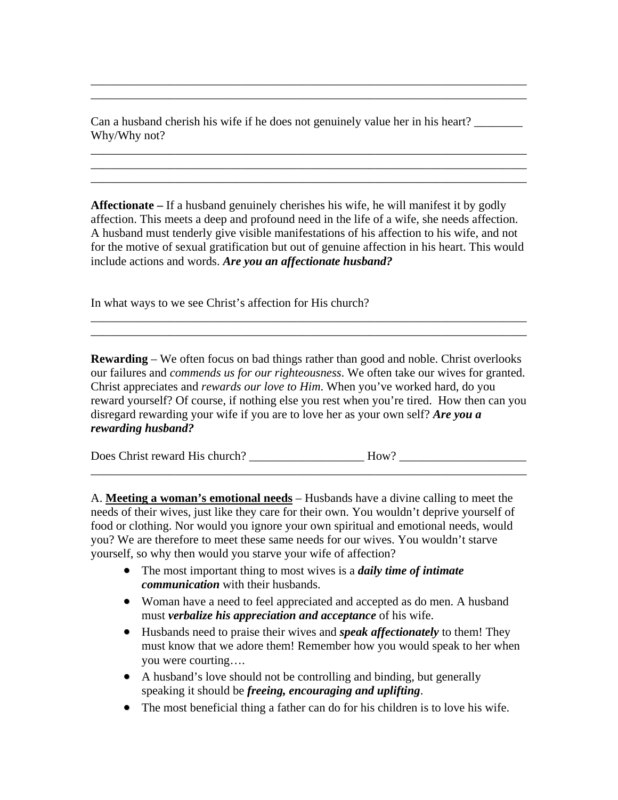Can a husband cherish his wife if he does not genuinely value her in his heart? Why/Why not?

\_\_\_\_\_\_\_\_\_\_\_\_\_\_\_\_\_\_\_\_\_\_\_\_\_\_\_\_\_\_\_\_\_\_\_\_\_\_\_\_\_\_\_\_\_\_\_\_\_\_\_\_\_\_\_\_\_\_\_\_\_\_\_\_\_\_\_\_\_\_\_\_ \_\_\_\_\_\_\_\_\_\_\_\_\_\_\_\_\_\_\_\_\_\_\_\_\_\_\_\_\_\_\_\_\_\_\_\_\_\_\_\_\_\_\_\_\_\_\_\_\_\_\_\_\_\_\_\_\_\_\_\_\_\_\_\_\_\_\_\_\_\_\_\_

\_\_\_\_\_\_\_\_\_\_\_\_\_\_\_\_\_\_\_\_\_\_\_\_\_\_\_\_\_\_\_\_\_\_\_\_\_\_\_\_\_\_\_\_\_\_\_\_\_\_\_\_\_\_\_\_\_\_\_\_\_\_\_\_\_\_\_\_\_\_\_\_ \_\_\_\_\_\_\_\_\_\_\_\_\_\_\_\_\_\_\_\_\_\_\_\_\_\_\_\_\_\_\_\_\_\_\_\_\_\_\_\_\_\_\_\_\_\_\_\_\_\_\_\_\_\_\_\_\_\_\_\_\_\_\_\_\_\_\_\_\_\_\_\_ \_\_\_\_\_\_\_\_\_\_\_\_\_\_\_\_\_\_\_\_\_\_\_\_\_\_\_\_\_\_\_\_\_\_\_\_\_\_\_\_\_\_\_\_\_\_\_\_\_\_\_\_\_\_\_\_\_\_\_\_\_\_\_\_\_\_\_\_\_\_\_\_

**Affectionate –** If a husband genuinely cherishes his wife, he will manifest it by godly affection. This meets a deep and profound need in the life of a wife, she needs affection. A husband must tenderly give visible manifestations of his affection to his wife, and not for the motive of sexual gratification but out of genuine affection in his heart. This would include actions and words. *Are you an affectionate husband?* 

In what ways to we see Christ's affection for His church?

**Rewarding** – We often focus on bad things rather than good and noble. Christ overlooks our failures and *commends us for our righteousness*. We often take our wives for granted. Christ appreciates and *rewards our love to Him*. When you've worked hard, do you reward yourself? Of course, if nothing else you rest when you're tired. How then can you disregard rewarding your wife if you are to love her as your own self? *Are you a rewarding husband?*

\_\_\_\_\_\_\_\_\_\_\_\_\_\_\_\_\_\_\_\_\_\_\_\_\_\_\_\_\_\_\_\_\_\_\_\_\_\_\_\_\_\_\_\_\_\_\_\_\_\_\_\_\_\_\_\_\_\_\_\_\_\_\_\_\_\_\_\_\_\_\_\_

\_\_\_\_\_\_\_\_\_\_\_\_\_\_\_\_\_\_\_\_\_\_\_\_\_\_\_\_\_\_\_\_\_\_\_\_\_\_\_\_\_\_\_\_\_\_\_\_\_\_\_\_\_\_\_\_\_\_\_\_\_\_\_\_\_\_\_\_\_\_\_\_ \_\_\_\_\_\_\_\_\_\_\_\_\_\_\_\_\_\_\_\_\_\_\_\_\_\_\_\_\_\_\_\_\_\_\_\_\_\_\_\_\_\_\_\_\_\_\_\_\_\_\_\_\_\_\_\_\_\_\_\_\_\_\_\_\_\_\_\_\_\_\_\_

Does Christ reward His church? \_\_\_\_\_\_\_\_\_\_\_\_\_\_\_\_\_\_\_ How? \_\_\_\_\_\_\_\_\_\_\_\_\_\_\_\_\_\_\_\_\_

A. **Meeting a woman's emotional needs** – Husbands have a divine calling to meet the needs of their wives, just like they care for their own. You wouldn't deprive yourself of food or clothing. Nor would you ignore your own spiritual and emotional needs, would you? We are therefore to meet these same needs for our wives. You wouldn't starve yourself, so why then would you starve your wife of affection?

- The most important thing to most wives is a *daily time of intimate communication* with their husbands.
- Woman have a need to feel appreciated and accepted as do men. A husband must *verbalize his appreciation and acceptance* of his wife.
- Husbands need to praise their wives and *speak affectionately* to them! They must know that we adore them! Remember how you would speak to her when you were courting….
- A husband's love should not be controlling and binding, but generally speaking it should be *freeing, encouraging and uplifting*.
- The most beneficial thing a father can do for his children is to love his wife.